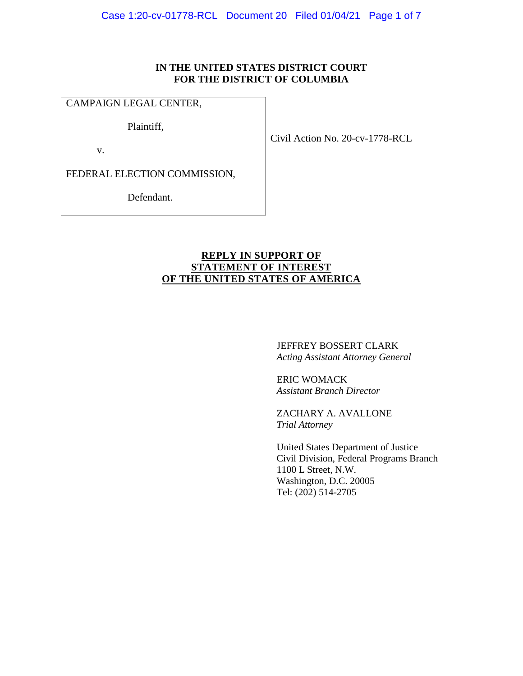## **IN THE UNITED STATES DISTRICT COURT FOR THE DISTRICT OF COLUMBIA**

# CAMPAIGN LEGAL CENTER,

Plaintiff,

v.

Civil Action No. 20-cv-1778-RCL

FEDERAL ELECTION COMMISSION,

Defendant.

# **REPLY IN SUPPORT OF STATEMENT OF INTEREST OF THE UNITED STATES OF AMERICA**

JEFFREY BOSSERT CLARK *Acting Assistant Attorney General* 

ERIC WOMACK *Assistant Branch Director* 

ZACHARY A. AVALLONE *Trial Attorney* 

United States Department of Justice Civil Division, Federal Programs Branch 1100 L Street, N.W. Washington, D.C. 20005 Tel: (202) 514-2705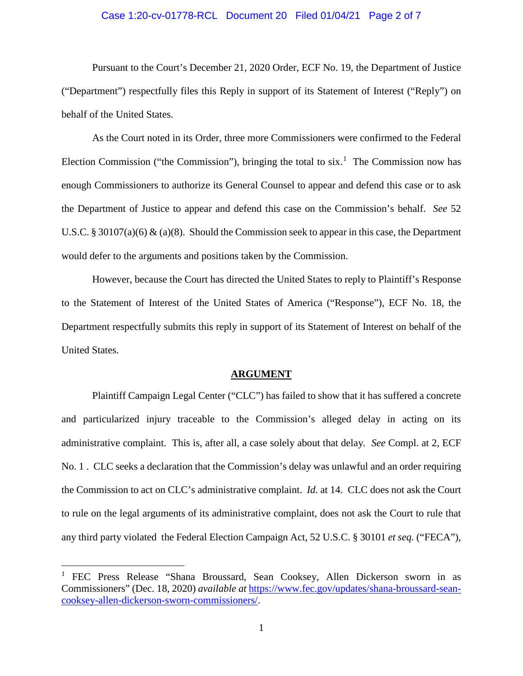## Case 1:20-cv-01778-RCL Document 20 Filed 01/04/21 Page 2 of 7

Pursuant to the Court's December 21, 2020 Order, ECF No. 19, the Department of Justice ("Department") respectfully files this Reply in support of its Statement of Interest ("Reply") on behalf of the United States.

As the Court noted in its Order, three more Commissioners were confirmed to the Federal Election Commission ("the Commission"), bringing the total to  $six$ <sup>[1](#page-1-0)</sup>. The Commission now has enough Commissioners to authorize its General Counsel to appear and defend this case or to ask the Department of Justice to appear and defend this case on the Commission's behalf. *See* 52 U.S.C. § 30107(a)(6) & (a)(8). Should the Commission seek to appear in this case, the Department would defer to the arguments and positions taken by the Commission.

However, because the Court has directed the United States to reply to Plaintiff's Response to the Statement of Interest of the United States of America ("Response"), ECF No. 18, the Department respectfully submits this reply in support of its Statement of Interest on behalf of the United States.

#### **ARGUMENT**

Plaintiff Campaign Legal Center ("CLC") has failed to show that it has suffered a concrete and particularized injury traceable to the Commission's alleged delay in acting on its administrative complaint. This is, after all, a case solely about that delay*. See* Compl. at 2, ECF No. 1 . CLC seeks a declaration that the Commission's delay was unlawful and an order requiring the Commission to act on CLC's administrative complaint. *Id.* at 14. CLC does not ask the Court to rule on the legal arguments of its administrative complaint, does not ask the Court to rule that any third party violated the Federal Election Campaign Act, 52 U.S.C. § 30101 *et seq.* ("FECA"),

<span id="page-1-0"></span><sup>&</sup>lt;sup>1</sup> FEC Press Release "Shana Broussard, Sean Cooksey, Allen Dickerson sworn in as Commissioners" (Dec. 18, 2020) *available at* [https://www.fec.gov/updates/shana-broussard-sean](https://www.fec.gov/updates/shana-broussard-sean-cooksey-allen-dickerson-sworn-commissioners/)[cooksey-allen-dickerson-sworn-commissioners/.](https://www.fec.gov/updates/shana-broussard-sean-cooksey-allen-dickerson-sworn-commissioners/)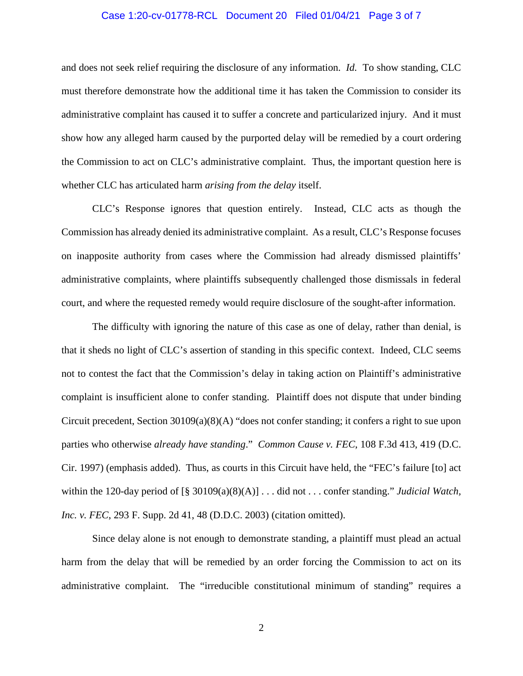## Case 1:20-cv-01778-RCL Document 20 Filed 01/04/21 Page 3 of 7

and does not seek relief requiring the disclosure of any information. *Id.* To show standing, CLC must therefore demonstrate how the additional time it has taken the Commission to consider its administrative complaint has caused it to suffer a concrete and particularized injury. And it must show how any alleged harm caused by the purported delay will be remedied by a court ordering the Commission to act on CLC's administrative complaint. Thus, the important question here is whether CLC has articulated harm *arising from the delay* itself.

CLC's Response ignores that question entirely. Instead, CLC acts as though the Commission has already denied its administrative complaint. As a result, CLC's Response focuses on inapposite authority from cases where the Commission had already dismissed plaintiffs' administrative complaints, where plaintiffs subsequently challenged those dismissals in federal court, and where the requested remedy would require disclosure of the sought-after information.

The difficulty with ignoring the nature of this case as one of delay, rather than denial, is that it sheds no light of CLC's assertion of standing in this specific context. Indeed, CLC seems not to contest the fact that the Commission's delay in taking action on Plaintiff's administrative complaint is insufficient alone to confer standing. Plaintiff does not dispute that under binding Circuit precedent, Section 30109(a)(8)(A) "does not confer standing; it confers a right to sue upon parties who otherwise *already have standing*." *Common Cause v. FEC*, 108 F.3d 413, 419 (D.C. Cir. 1997) (emphasis added). Thus, as courts in this Circuit have held, the "FEC's failure [to] act within the 120-day period of [§ 30109(a)(8)(A)] . . . did not . . . confer standing." *Judicial Watch, Inc. v. FEC*, 293 F. Supp. 2d 41, 48 (D.D.C. 2003) (citation omitted).

Since delay alone is not enough to demonstrate standing, a plaintiff must plead an actual harm from the delay that will be remedied by an order forcing the Commission to act on its administrative complaint. The "irreducible constitutional minimum of standing" requires a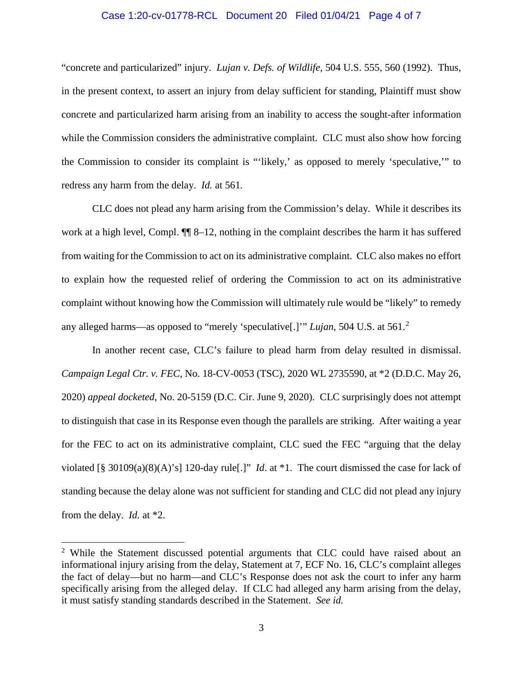## Case 1:20-cv-01778-RCL Document 20 Filed 01/04/21 Page 4 of 7

"concrete and particularized" injury. *Lujan v. Defs. of Wildlife*, 504 U.S. 555, 560 (1992). Thus, in the present context, to assert an injury from delay sufficient for standing, Plaintiff must show concrete and particularized harm arising from an inability to access the sought-after information while the Commission considers the administrative complaint. CLC must also show how forcing the Commission to consider its complaint is "'likely,' as opposed to merely 'speculative,'" to redress any harm from the delay. *Id.* at 561*.*

CLC does not plead any harm arising from the Commission's delay. While it describes its work at a high level, Compl.  $\P$  8–12, nothing in the complaint describes the harm it has suffered from waiting for the Commission to act on its administrative complaint. CLC also makes no effort to explain how the requested relief of ordering the Commission to act on its administrative complaint without knowing how the Commission will ultimately rule would be "likely" to remedy any alleged harms—as opposed to "merely 'speculative[.]'" *Lujan*, 504 U.S. at 561. [2](#page-3-0)

In another recent case, CLC's failure to plead harm from delay resulted in dismissal. *Campaign Legal Ctr. v. FEC*, No. 18-CV-0053 (TSC), 2020 WL 2735590, at \*2 (D.D.C. May 26, 2020) *appeal docketed*, No. 20-5159 (D.C. Cir. June 9, 2020). CLC surprisingly does not attempt to distinguish that case in its Response even though the parallels are striking. After waiting a year for the FEC to act on its administrative complaint, CLC sued the FEC "arguing that the delay violated [§ 30109(a)(8)(A)'s] 120-day rule[.]" *Id*. at \*1. The court dismissed the case for lack of standing because the delay alone was not sufficient for standing and CLC did not plead any injury from the delay. *Id.* at \*2.

<span id="page-3-0"></span><sup>&</sup>lt;sup>2</sup> While the Statement discussed potential arguments that CLC could have raised about an informational injury arising from the delay, Statement at 7, ECF No. 16, CLC's complaint alleges the fact of delay—but no harm—and CLC's Response does not ask the court to infer any harm specifically arising from the alleged delay. If CLC had alleged any harm arising from the delay, it must satisfy standing standards described in the Statement. *See id.*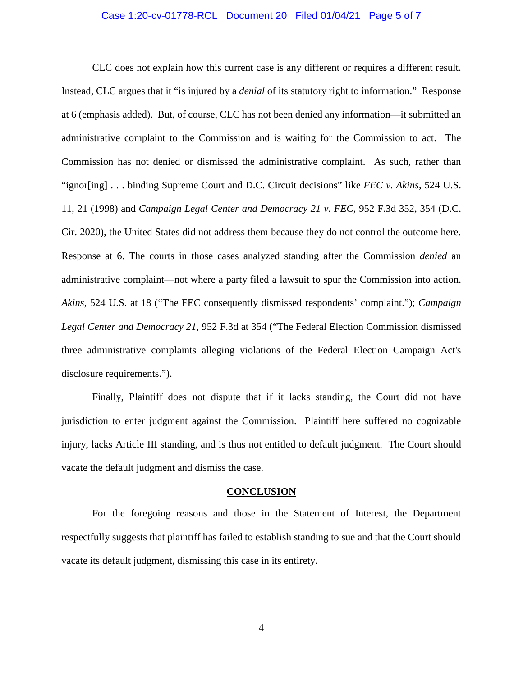## Case 1:20-cv-01778-RCL Document 20 Filed 01/04/21 Page 5 of 7

CLC does not explain how this current case is any different or requires a different result. Instead, CLC argues that it "is injured by a *denial* of its statutory right to information." Response at 6 (emphasis added). But, of course, CLC has not been denied any information—it submitted an administrative complaint to the Commission and is waiting for the Commission to act. The Commission has not denied or dismissed the administrative complaint. As such, rather than "ignor[ing] . . . binding Supreme Court and D.C. Circuit decisions" like *FEC v. Akins*, 524 U.S. 11, 21 (1998) and *Campaign Legal Center and Democracy 21 v. FEC*, 952 F.3d 352, 354 (D.C. Cir. 2020), the United States did not address them because they do not control the outcome here. Response at 6. The courts in those cases analyzed standing after the Commission *denied* an administrative complaint—not where a party filed a lawsuit to spur the Commission into action. *Akins*, 524 U.S. at 18 ("The FEC consequently dismissed respondents' complaint."); *Campaign Legal Center and Democracy 21*, 952 F.3d at 354 ("The Federal Election Commission dismissed three administrative complaints alleging violations of the Federal Election Campaign Act's disclosure requirements.").

Finally, Plaintiff does not dispute that if it lacks standing, the Court did not have jurisdiction to enter judgment against the Commission. Plaintiff here suffered no cognizable injury, lacks Article III standing, and is thus not entitled to default judgment. The Court should vacate the default judgment and dismiss the case.

#### **CONCLUSION**

For the foregoing reasons and those in the Statement of Interest, the Department respectfully suggests that plaintiff has failed to establish standing to sue and that the Court should vacate its default judgment, dismissing this case in its entirety.

4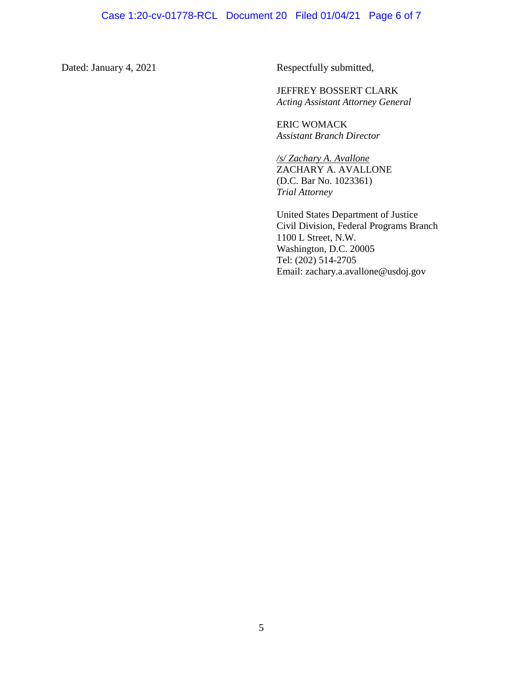Dated: January 4, 2021 Respectfully submitted,

JEFFREY BOSSERT CLARK *Acting Assistant Attorney General* 

ERIC WOMACK *Assistant Branch Director* 

*/s/ Zachary A. Avallone* ZACHARY A. AVALLONE (D.C. Bar No. 1023361) *Trial Attorney* 

United States Department of Justice Civil Division, Federal Programs Branch 1100 L Street, N.W. Washington, D.C. 20005 Tel: (202) 514-2705 Email: zachary.a.avallone@usdoj.gov